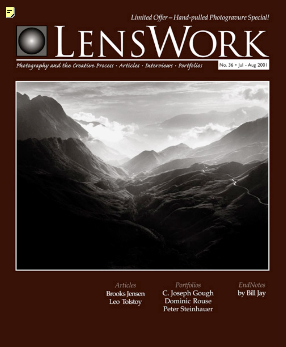

Photography and the Creative Process · Articles · Interviews · Portfolios



**Articles Brooks Jensen** Leo Tolstoy

Portfolios C. Joseph Gough **Dominic Rouse Peter Steinhauer** 

**EndNotes** by Bill Jay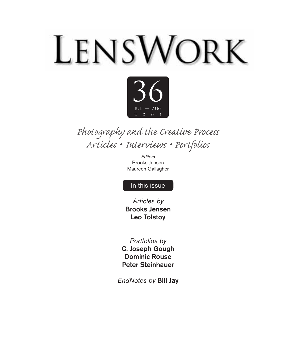## LENSWORK 36  $JUL - AUG$ 2001

### *Photography and the Creative Process Articles • Interviews • Portfolios*

*Editors* Brooks Jensen Maureen Gallagher

### In this issue

*Articles by* **Brooks Jensen Leo Tolstoy**

### *Portfolios by*

**C. Joseph Gough Dominic Rouse Peter Steinhauer**

*EndNotes by* **Bill Jay**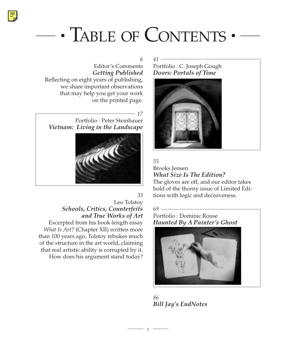

## · TABLE OF CONTENTS ·

*6*

*17*

Editor's Comments *Getting Published* Reflecting on eight years of publishing, we share important observations that may help you get your work on the printed page.

Portfolio : Peter Steinhauer *[Vietnam: Living in the Landscape](#page-13-0)*



*33* Leo Tolstoy *Schools, Critics, Counterfeits and True Works of Art* Excerpted from his book-length essay *What Is Art?* (Chapter XII) written more [than 100 years ago, Tolstoy rebukes much](#page-15-0)  of the structure in the art world, claiming that real artistic ability is corrupted by it. How does his argument stand today?

*41*

Portfolio : C. Joseph Gough *[Doors: Portals of Time](#page-16-0)*



### *55*

### Brooks Jensen *What Size Is The Edition?*

[The gloves are off, and our editor takes](#page-15-0)  hold of the thorny issue of Limited Editions with logic and decisiveness.



*86 Bill Jay's EndNotes*

 $-5$  –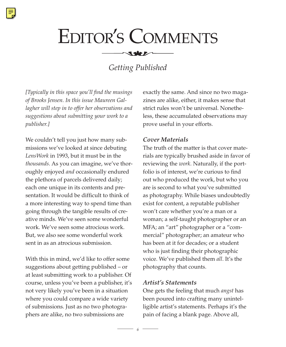## <span id="page-3-0"></span>EDITOR'S COMMENTS

SSIER

### *Getting Published*

*[Typically in this space you'll find the musings of Brooks Jensen. In this issue Maureen Gallagher will step in to offer her observations and suggestions about submitting your work to a publisher.]*

We couldn't tell you just how many submissions we've looked at since debuting *LensWork* in 1993, but it must be in the *thousands*. As you can imagine, we've thoroughly enjoyed *and* occasionally endured the plethora of parcels delivered daily; each one unique in its contents and presentation. It would be difficult to think of a more interesting way to spend time than going through the tangible results of creative minds. We've seen some wonderful work. We've seen some atrocious work. But, we also see some wonderful work sent in as an atrocious submission.

With this in mind, we'd like to offer some suggestions about getting published – or at least submitting work to a publisher. Of course, unless you've been a publisher, it's not very likely you've been in a situation where you could compare a wide variety of submissions. Just as no two photographers are alike, no two submissions are

exactly the same. And since no two magazines are alike, either, it makes sense that strict rules won't be universal. Nonetheless, these accumulated observations may prove useful in your efforts.

#### *Cover Materials*

The truth of the matter is that cover materials are typically brushed aside in favor of reviewing the *work*. Naturally, if the portfolio is of interest, we're curious to find out who produced the work, but who you are is second to what you've submitted as photography. While biases undoubtedly exist for content, a reputable publisher won't care whether you're a man or a woman; a self-taught photographer or an MFA; an "art" photographer or a "commercial" photographer; an amateur who has been at it for decades; or a student who is just finding their photographic voice. We've published them *all*. It's the photography that counts.

#### *Artist's Statements*

One gets the feeling that much *angst* has been poured into crafting many unintelligible artist's statements. Perhaps it's the pain of facing a blank page. Above all,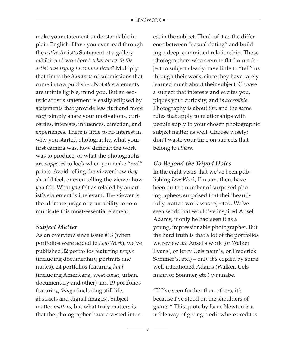make your statement understandable in plain English. Have you ever read through the *entire* Artist's Statement at a gallery exhibit and wondered *what on earth the artist was trying to communicate*? Multiply that times the *hundreds* of submissions that come in to a publisher. Not *all* statements are unintelligible, mind you. But an esoteric artist's statement is easily eclipsed by statements that provide less fluff and more *stuff;* simply share your motivations, curiosities, interests, influences, direction, and experiences. There is little to no interest in why you started photography, what your first camera was, how difficult the work was to produce, or what the photographs are *supposed* to look when you make "real" prints. Avoid telling the viewer how *they* should feel, or even telling the viewer how *you* felt. What *you* felt as related by an artist's statement is irrelevant. The viewer is the ultimate judge of your ability to communicate this most-essential element.

#### *Subject Matter*

As an overview since issue #13 (when portfolios were added to *LensWork*), we've published 32 portfolios featuring *people* (including documentary, portraits and nudes), 24 portfolios featuring *land* (including Americana, west coast, urban, documentary and other) and 19 portfolios featuring *things* (including still life, abstracts and digital images). Subject matter *matters*, but what truly matters is that the photographer have a vested inter-

est in the subject. Think of it as the difference between "casual dating" and building a deep, committed relationship. Those photographers who seem to flit from subject to subject clearly have little to "tell" us through their work, since they have rarely learned much about their subject. Choose a subject that interests and excites you, piques your curiosity, and is *accessible*. Photography is about *life*, and the same rules that apply to relationships with people apply to your chosen photographic subject matter as well. Choose wisely; don't waste your time on subjects that belong to *others*.

#### *Go Beyond the Tripod Holes*

In the eight years that we've been publishing *LensWork*, I'm sure there have been quite a number of surprised photographers; surprised that their beautifully crafted work was rejected. We've seen work that would've inspired Ansel Adams, if only he had seen it as a young, impressionable photographer. But the hard truth is that a lot of the portfolios we review *are* Ansel's work (or Walker Evans', or Jerry Uelsmann's, or Frederick Sommer's, etc.) – only it's copied by some well-intentioned Adams (Walker, Uelsmann or Sommer, etc.) wannabe.

"If I've seen further than others, it's because I've stood on the shoulders of giants." This quote by Isaac Newton is a noble way of giving credit where credit is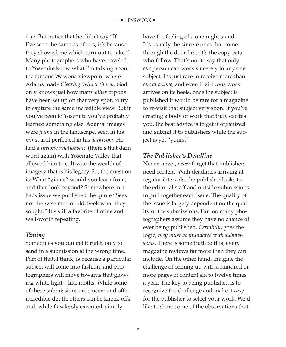due. But notice that he didn't say "If I've seen the same as others, it's because they showed me which turn-out to take." Many photographers who have traveled to Yosemite know what I'm talking about: the famous Wawona viewpoint where Adams made *Clearing Winter Storm*. God only knows just how many *other* tripods have been set up on that very spot, to try to capture the same incredible view. But if you've been to Yosemite you've probably learned something else: Adams' images were *found* in the landscape, seen in his *mind*, and perfected in his *darkroom*. He had a *lifelong relationship* (there's that darn word again) with Yosemite Valley that allowed him to cultivate the wealth of imagery that is his legacy. So, the question is: What "giants" would you learn from, and then look beyond? Somewhere in a back issue we published the quote "Seek not the wise men of old. Seek what they sought." It's still a favorite of mine and well-worth repeating.

#### *Timing*

Sometimes you can get it right, only to send in a submission at the wrong time. Part of that, I think, is because a particular subject will come into fashion, and photographers will move towards that glowing white light – like moths. While some of these submissions are sincere and offer incredible depth, others can be knock-offs and, while flawlessly executed, simply

have the feeling of a one-night stand. It's usually the sincere ones that come through the door first; it's the copy-cats who follow. That's not to say that only *one* person can work sincerely in any one subject. It's just rare to receive more than *one at a time*, and even if virtuous work arrives on its heels, once the subject is published it would be rare for a magazine to re-visit that subject very soon. If you're creating a body of work that truly excites you, the best advice is to get it organized and submit it to publishers while the subject is yet "yours."

#### *The Publisher's Deadline*

Never, never, *never* forget that publishers need content. With deadlines arriving at regular intervals, the publisher looks to the editorial staff and outside submissions to pull together each issue. The quality of the issue is largely dependent on the quality of the submissions. Far too many photographers assume they have no chance of ever being published. *Certainly*, goes the logic, *they must be inundated with submissions*. There is some truth to this; every magazine reviews far more than they can include. On the other hand, imagine the challenge of coming up with a hundred or more pages of content six to twelve times a year. The key to being published is to recognize the challenge and make it *easy* for the publisher to select your work. We'd like to share some of the observations that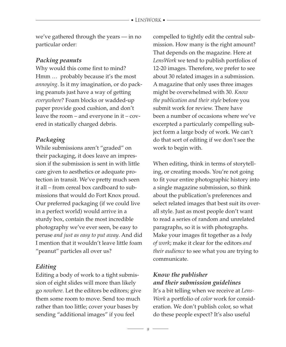we've gathered through the years — in no particular order:

#### *Packing peanuts*

Why would this come first to mind? Hmm … probably because it's the most *annoying*. Is it my imagination, or do packing peanuts just have a way of getting *everywhere*? Foam blocks or wadded-up paper provide good cushion, and don't leave the room – and everyone in it – covered in statically charged debris.

### *Packaging*

While submissions aren't "graded" on their packaging, it does leave an impression if the submission is sent in with little care given to aesthetics or adequate protection in transit. We've pretty much seen it all – from cereal box cardboard to submissions that would do Fort Knox proud. Our preferred packaging (if we could live in a perfect world) would arrive in a sturdy box, contain the most incredible photography we've ever seen, be easy to peruse *and just as easy to put away*. And did I mention that it wouldn't leave little foam "peanut" particles all over us?

### *Editing*

Editing a body of work to a tight submission of eight slides will more than likely go *nowhere*. Let the editors be editors; give them some room to move. Send too much rather than too little; cover your bases by sending "additional images" if you feel

compelled to tightly edit the central submission. How many is the right amount? That depends on the magazine. Here at *LensWork* we tend to publish portfolios of 12-20 images. Therefore, we prefer to see about 30 related images in a submission. A magazine that only uses three images might be overwhelmed with 30. *Know the publication and their style* before you submit work for review. There have been a number of occasions where we've excerpted a particularly compelling subject form a large body of work. We can't do that sort of editing if we don't see the work to begin with.

When editing, think in terms of storytelling, or creating moods. You're not going to fit your entire photographic history into a single magazine submission, so think about the publication's preferences and select related images that best suit its overall style. Just as most people don't want to read a series of random and unrelated paragraphs, so it is with photographs. Make your images fit together as a *body of work*; make it clear for the editors *and their audience* to see what you are trying to communicate.

### *Know the publisher and their submission guidelines*

 $-9 -$ 

It's a bit telling when we receive at *Lens-Work* a portfolio of *color* work for consideration. We don't publish color, so what do these people expect? It's also useful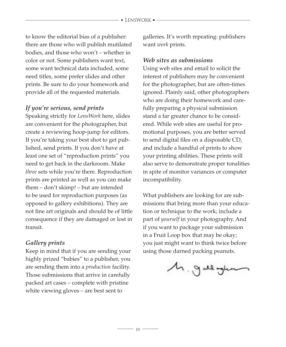to know the editorial bias of a publisher: there are those who will publish mutilated bodies, and those who won't – whether in color or not. Some publishers want text, some want technical data included, some need titles, some prefer slides and other prints. Be sure to do your homework and provide all of the requested materials.

### *If you're serious, send prints*

Speaking strictly for *LensWork* here, slides are convenient for the photographer, but create a reviewing hoop-jump for editors. If you're taking your best shot to get published, send prints. If you don't have at least one set of "reproduction prints" you need to get back in the darkroom. Make *three* sets while you're there. Reproduction prints are printed as well as you can make them – don't skimp! – but are intended to be used for reproduction purposes (as opposed to gallery exhibitions). They are not fine art originals and should be of little consequence if they are damaged or lost in transit.

### *Gallery prints*

Keep in mind that if you are sending your highly prized "babies" to a publisher, you are sending them into a *production* facility. Those submissions that arrive in carefully packed art cases – complete with pristine white viewing gloves – are best sent to

galleries. It's worth repeating: publishers want *work* prints.

#### *Web sites as submissions*

Using web sites and email to solicit the interest of publishers may be convenient for the photographer, but are often-times ignored. Plainly said, other photographers who are doing their homework and carefully preparing a physical submission stand a far greater chance to be considered. While web sites are useful for promotional purposes, you are better served to send digital files on a disposable CD, and include a handful of prints to show your printing abilities. These prints will also serve to demonstrate proper tonalities in spite of monitor variances or computer incompatibility.

What publishers are looking for are submissions that bring more than your education or technique to the work; include a part of *yourself* in your photography. And if you want to package your submission in a Fruit Loop box that may be okay; you just might want to think twice before using those darned packing peanuts.

 $\Lambda$ . gal gh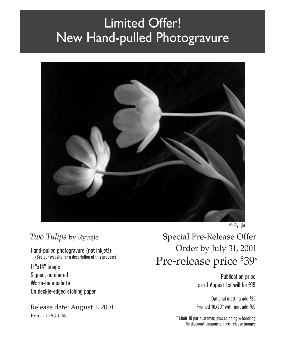### Limited Offer! New Hand-pulled Photogravure



### *Two Tulips* by Ryuijie

Hand-pulled photogravure (not inkjet!) (See our website for a description of this process)

11"x14" image Signed, numbered Warm-tone palette On deckle-edged etching paper

Release date: August 1, 2001 Item # LPG-006

© Ryuijie

Special Pre-Release Offer Order by July 31, 2001 Pre-release price \$ 39\*

> Publication price as of August 1st will be \$ 99

> Optional matting add \$ 25 Framed 16x20" with mat add \$ 59

\* Limit 10 per customer, plus shipping & handling No discount coupons on pre-release images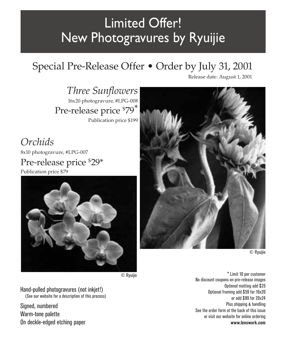### Limited Offer! New Photogravures by Ryuijie

### Special Pre-Release Offer • Order by July 31, 2001

Release date: August 1, 2001

**Three Sunflowers** 16x20 photogravure, #LPG-008 Pre-release price \$ 79\* Publication price \$199

*Orchids* 8x10 photogravure, #LPG-007 Pre-release price \$ 29\* Publication price \$79



© Ryuijie

Hand-pulled photogravures (not inkjet!) (See our website for a description of this process)

Signed, numbered Warm-tone palette On deckle-edged etching paper



© Ryuijie

\* Limit 10 per customer No discount coupons on pre-release images Optional matting add \$25 Optional framing add \$59 for 16x20 or add \$89 for 20x24 Plus shipping & handling See the order form at the back of this issue or visit our website for online ordering **www.lenswork.com**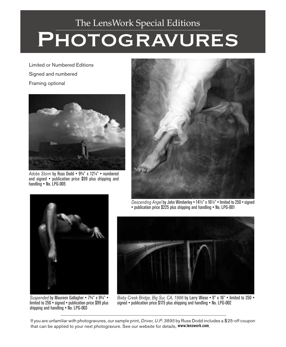## The LensWork Special Editions **PHOTOGRAVURES**

Limited or Numbered Editions Signed and numbered Framing optional



*Adobe Storm* by Russ Dodd • 9¾" x 12¼" • numbered and signed • publication price \$99 plus shipping and handling • No. LPG-005







*Bixby Creek Bridge, Big Sur, CA, 1996* by Larry Wiese • 9" x 16" • limited to 250 • signed • publication price \$175 plus shipping and handling • No. LPG-002



If you are unfamiliar with photogravures, our sample print, *Driver, U.P. 3895* by Russ Dodd includes a \$25-off coupon that can be applied to your next photogravure. See our website for details, **www.lenswork.com**.

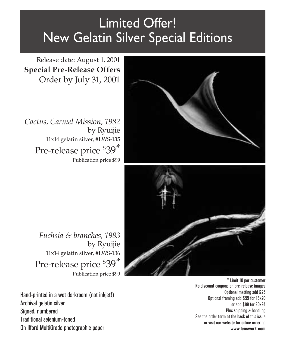### Limited Offer! New Gelatin Silver Special Editions

Release date: August 1, 2001 **Special Pre-Release Offers** Order by July 31, 2001

*Cactus, Carmel Mission, 1982* by Ryuijie 11x14 gelatin silver, #LWS-135 Pre-release price  $^{\$}39^{\text{*}}$ Publication price \$99





Hand-printed in a wet darkroom (not inkjet!) Archival gelatin silver Signed, numbered Traditional selenium-toned On Ilford MultiGrade photographic paper



\* Limit 10 per customer No discount coupons on pre-release images Optional matting add \$25 Optional framing add \$59 for 16x20 or add \$89 for 20x24 Plus shipping & handling See the order form at the back of this issue or visit our website for online ordering **www.lenswork.com**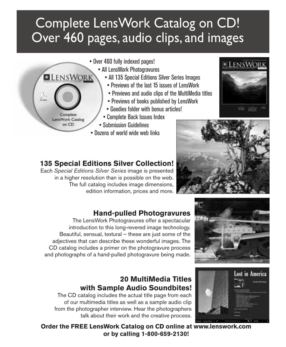### Complete LensWork Catalog on CD! Over 460 pages, audio clips, and images



### **135 Special Editions Silver Collection!**

Each *Special Editions Silver Series* image is presented in a higher resolution than is possible on the web. The full catalog includes image dimensions, edition information, prices and more.



### **20 MultiMedia Titles with Sample Audio Soundbites!**

The CD catalog includes the actual title page from each of our multimedia titles as well as a sample audio clip from the photographer interview. Hear the photographers talk about their work and the creative process.

**Order the FREE LensWork Catalog on CD online at www.lenswork.com or by calling 1-800-659-2130!**

### **Hand-pulled Photogravures** The LensWork Photogravures offer a spectacular

introduction to this long-revered image technology. Beautiful, sensual, textural – these are just some of the adjectives that can describe these wonderful images. The CD catalog includes a primer on the photogravure process and photographs of a hand-pulled photogravure being made.



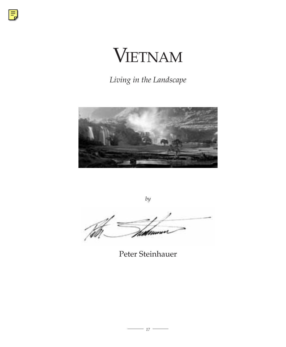<span id="page-13-0"></span>

## **VIETNAM**

*Living in the Landscape*



*by*



Peter Steinhauer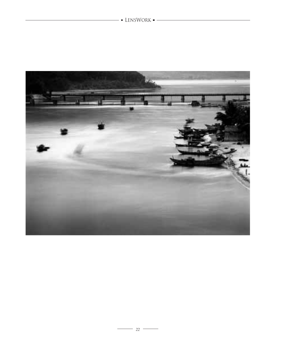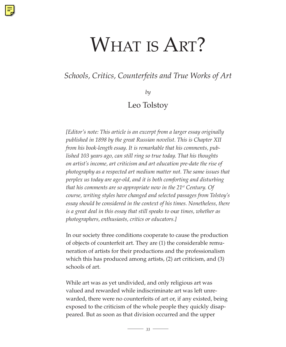## WHAT IS ART?

*Schools, Critics, Counterfeits and True Works of Art*

*by*

### Leo Tolstoy

*[Editor's note: This article is an excerpt from a larger essay originally published in 1898 by the great Russian novelist. This is Chapter XII from his book-length essay. It is remarkable that his comments, published 103 years ago, can still ring so true today. That his thoughts on artist's income, art criticism and art education pre-date the rise of photography as a respected art medium matter not. The same issues that perplex us today are age-old, and it is both comforting and disturbing that his comments are so appropriate now in the 21st Century. Of course, writing styles have changed and selected passages from Tolstoy's essay should be considered in the context of his times. Nonetheless, there is a great deal in this essay that still speaks to* our *times, whether as photographers, enthusiasts, critics or educators.]*

In our society three conditions cooperate to cause the production of objects of counterfeit art. They are (1) the considerable remuneration of artists for their productions and the professionalism which this has produced among artists, (2) art criticism, and (3) schools of art.

While art was as yet undivided, and only religious art was valued and rewarded while indiscriminate art was left unrewarded, there were no counterfeits of art or, if any existed, being exposed to the criticism of the whole people they quickly disappeared. But as soon as that division occurred and the upper

<span id="page-15-0"></span>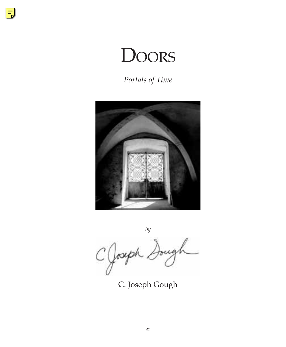<span id="page-16-0"></span>

## **DOORS**

*Portals of Time*



by<br>CJoseph Dough

C. Joseph Gough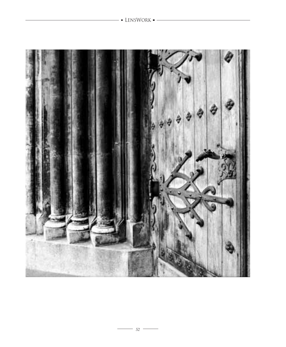



÷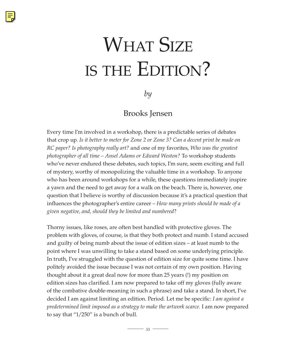

# WHAT SIZE IS THE EDITION?

*by*

### Brooks Jensen

Every time I'm involved in a workshop, there is a predictable series of debates that crop up. *Is it better to meter for Zone 2 or Zone 3? Can a decent print be made on RC paper? Is photography really art?* and one of my favorites, *Who was the greatest photographer of all time – Ansel Adams or Edward Weston?* To workshop students who've never endured these debates, such topics, I'm sure, seem exciting and full of mystery, worthy of monopolizing the valuable time in a workshop. To anyone who has been around workshops for a while, these questions immediately inspire a yawn and the need to get away for a walk on the beach. There is, however, one question that I believe is worthy of discussion because it's a practical question that influences the photographer's entire career – *How many prints should be made of a given negative, and, should they be limited and numbered*?

Thorny issues, like roses, are often best handled with protective gloves. The problem with gloves, of course, is that they both protect and numb. I stand accused and guilty of being numb about the issue of edition sizes – at least numb to the point where I was unwilling to take a stand based on some underlying principle. In truth, I've struggled with the question of edition size for quite some time. I have politely avoided the issue because I was not certain of my own position. Having thought about it a great deal now for more than 25 years (!) my position on edition sizes has clarified. I am now prepared to take off my gloves (fully aware of the combative double-meaning in such a phrase) and take a stand. In short, I've decided I am against limiting an edition. Period. Let me be specific: I am against a *predetermined limit imposed as a strategy to make the artwork scarce.* I am now prepared to say that "1/250" is a bunch of bull.

*55*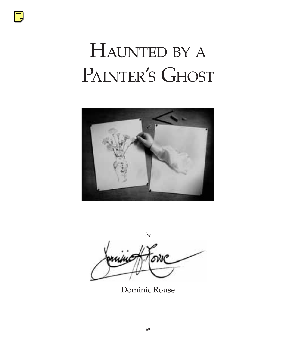<span id="page-19-0"></span>

## HAUNTED BY <sup>A</sup> PAINTER'S GHOST



*by*

Dominic Rouse

*69*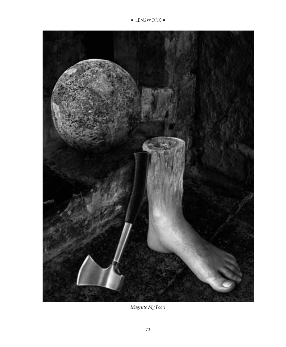

- LENSWORK -

*Magritte My Foot!*